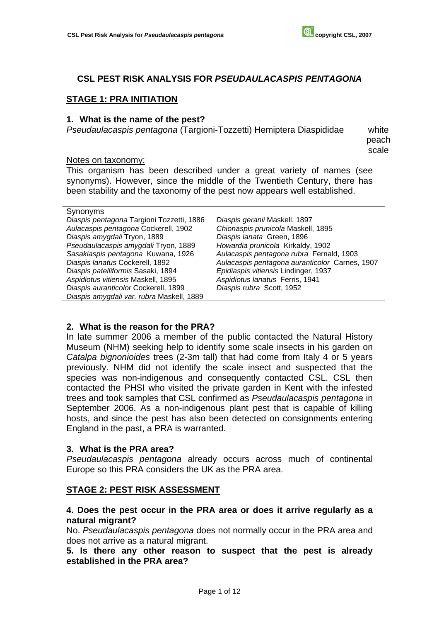# **CSL PEST RISK ANALYSIS FOR** *PSEUDAULACASPIS PENTAGONA*

### **STAGE 1: PRA INITIATION**

#### **1. What is the name of the pest?**

*Pseudaulacaspis pentagona* (Targioni-Tozzetti) Hemiptera Diaspididae white

peach scale

#### Notes on taxonomy:

This organism has been described under a great variety of names (see synonyms). However, since the middle of the Twentieth Century, there has been stability and the taxonomy of the pest now appears well established.

| Diaspis pentagona Targioni Tozzetti, 1886 | Die |
|-------------------------------------------|-----|
| Aulacaspis pentagona Cockerell, 1902      | Сh  |
| Diaspis amygdali Tryon, 1889              | Dia |
| Pseudaulacaspis amygdali Tryon, 1889      | Ho  |
| Sasakiaspis pentagona Kuwana, 1926        | Au  |
| Diaspis lanatus Cockerell, 1892           | Au  |
| Diaspis patelliformis Sasaki, 1894        | Ep  |
| Aspidiotus vitiensis Maskell, 1895        | As, |
| Diaspis auranticolor Cockerell, 1899      | Die |
| Diaspis amygdali var. rubra Maskell, 1889 |     |

*Diaspis geranii* Maskell, 1897 *Chionaspis prunicola* Maskell, 1895 *Diaspis lanata* Green, 1896 *Howardia prunicola* Kirkaldy, 1902 *Aulacaspis pentagona rubra* Fernald, 1903 *Aulacaspis pentagona auranticolor* Carnes, 1907 *Epidiaspis vitiensis* Lindinger, 1937 *Aspidiotus lanatus* Ferris, 1941 *Diaspis rubra* Scott, 1952

#### **2. What is the reason for the PRA?**

In late summer 2006 a member of the public contacted the Natural History Museum (NHM) seeking help to identify some scale insects in his garden on *Catalpa bignonioides* trees (2-3m tall) that had come from Italy 4 or 5 years previously. NHM did not identify the scale insect and suspected that the species was non-indigenous and consequently contacted CSL. CSL then contacted the PHSI who visited the private garden in Kent with the infested trees and took samples that CSL confirmed as *Pseudaulacaspis pentagona* in September 2006. As a non-indigenous plant pest that is capable of killing hosts, and since the pest has also been detected on consignments entering England in the past, a PRA is warranted.

#### **3. What is the PRA area?**

*Pseudaulacaspis pentagona* already occurs across much of continental Europe so this PRA considers the UK as the PRA area.

#### **STAGE 2: PEST RISK ASSESSMENT**

### **4. Does the pest occur in the PRA area or does it arrive regularly as a natural migrant?**

No. *Pseudaulacaspis pentagona* does not normally occur in the PRA area and does not arrive as a natural migrant.

**5. Is there any other reason to suspect that the pest is already established in the PRA area?**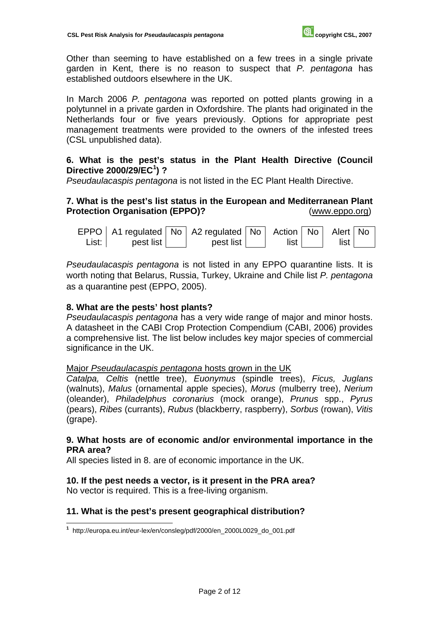Other than seeming to have established on a few trees in a single private garden in Kent, there is no reason to suspect that *P. pentagona* has established outdoors elsewhere in the UK.

In March 2006 *P. pentagona* was reported on potted plants growing in a polytunnel in a private garden in Oxfordshire. The plants had originated in the Netherlands four or five years previously. Options for appropriate pest management treatments were provided to the owners of the infested trees (CSL unpublished data).

# **6. What is the pest's status in the Plant Health Directive (Council Directive 2000/29/EC<sup>1</sup> ) ?**

*Pseudaulacaspis pentagona* is not listed in the EC Plant Health Directive.

# **7. What is the pest's list status in the European and Mediterranean Plant Protection Organisation (EPPO)?** (www.eppo.org)

 $EPPO |$  A1 regulated  $|$  No  $|$  A2 regulated List: I pest list pest list Action | list No Alert | No list

*Pseudaulacaspis pentagona* is not listed in any EPPO quarantine lists. It is worth noting that Belarus, Russia, Turkey, Ukraine and Chile list *P. pentagona*  as a quarantine pest (EPPO, 2005).

# **8. What are the pests' host plants?**

*Pseudaulacaspis pentagona* has a very wide range of major and minor hosts. A datasheet in the CABI Crop Protection Compendium (CABI, 2006) provides a comprehensive list. The list below includes key major species of commercial significance in the UK.

#### Major *Pseudaulacaspis pentagona* hosts grown in the UK

*Catalpa, Celtis* (nettle tree), *Euonymus* (spindle trees), *Ficus, Juglans* (walnuts), *Malus* (ornamental apple species), *Morus* (mulberry tree), *Nerium*  (oleander), *Philadelphus coronarius* (mock orange), *Prunus* spp., *Pyrus*  (pears), *Ribes* (currants), *Rubus* (blackberry, raspberry), *Sorbus* (rowan), *Vitis*  (grape).

### **9. What hosts are of economic and/or environmental importance in the PRA area?**

All species listed in 8. are of economic importance in the UK.

# **10. If the pest needs a vector, is it present in the PRA area?**

No vector is required. This is a free-living organism.

 $\overline{a}$ 

# **11. What is the pest's present geographical distribution?**

**<sup>1</sup>** http://europa.eu.int/eur-lex/en/consleg/pdf/2000/en\_2000L0029\_do\_001.pdf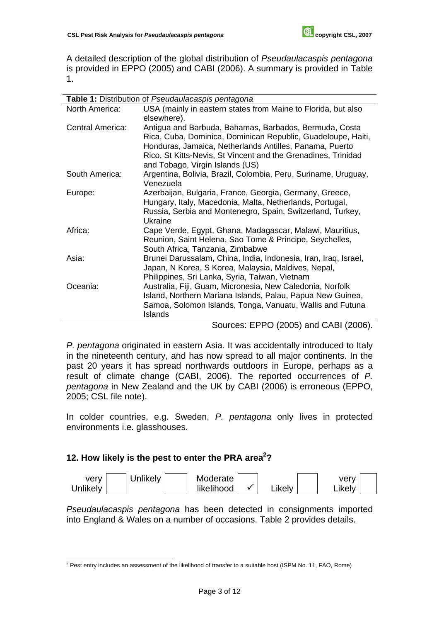A detailed description of the global distribution of *Pseudaulacaspis pentagona* is provided in EPPO (2005) and CABI (2006). A summary is provided in Table 1.

|                         | <b>Table 1:</b> Distribution of Pseudaulacaspis pentagona                                                                                                                                                                                                                                                                                                                                                                                                                                                                                                                                                                                                                                                   |
|-------------------------|-------------------------------------------------------------------------------------------------------------------------------------------------------------------------------------------------------------------------------------------------------------------------------------------------------------------------------------------------------------------------------------------------------------------------------------------------------------------------------------------------------------------------------------------------------------------------------------------------------------------------------------------------------------------------------------------------------------|
| North America:          | USA (mainly in eastern states from Maine to Florida, but also<br>elsewhere).                                                                                                                                                                                                                                                                                                                                                                                                                                                                                                                                                                                                                                |
| <b>Central America:</b> | Antigua and Barbuda, Bahamas, Barbados, Bermuda, Costa<br>Rica, Cuba, Dominica, Dominican Republic, Guadeloupe, Haiti,<br>Honduras, Jamaica, Netherlands Antilles, Panama, Puerto<br>Rico, St Kitts-Nevis, St Vincent and the Grenadines, Trinidad<br>and Tobago, Virgin Islands (US)                                                                                                                                                                                                                                                                                                                                                                                                                       |
| South America:          | Argentina, Bolivia, Brazil, Colombia, Peru, Suriname, Uruguay,<br>Venezuela                                                                                                                                                                                                                                                                                                                                                                                                                                                                                                                                                                                                                                 |
| Europe:                 | Azerbaijan, Bulgaria, France, Georgia, Germany, Greece,<br>Hungary, Italy, Macedonia, Malta, Netherlands, Portugal,<br>Russia, Serbia and Montenegro, Spain, Switzerland, Turkey,<br>Ukraine                                                                                                                                                                                                                                                                                                                                                                                                                                                                                                                |
| Africa:                 | Cape Verde, Egypt, Ghana, Madagascar, Malawi, Mauritius,<br>Reunion, Saint Helena, Sao Tome & Principe, Seychelles,<br>South Africa, Tanzania, Zimbabwe                                                                                                                                                                                                                                                                                                                                                                                                                                                                                                                                                     |
| Asia:                   | Brunei Darussalam, China, India, Indonesia, Iran, Iraq, Israel,<br>Japan, N Korea, S Korea, Malaysia, Maldives, Nepal,<br>Philippines, Sri Lanka, Syria, Taiwan, Vietnam                                                                                                                                                                                                                                                                                                                                                                                                                                                                                                                                    |
| Oceania:                | Australia, Fiji, Guam, Micronesia, New Caledonia, Norfolk<br>Island, Northern Mariana Islands, Palau, Papua New Guinea,<br>Samoa, Solomon Islands, Tonga, Vanuatu, Wallis and Futuna<br>Islands<br>$\blacksquare$ $\blacksquare$ $\blacksquare$ $\blacksquare$ $\blacksquare$ $\blacksquare$ $\blacksquare$ $\blacksquare$ $\blacksquare$ $\blacksquare$ $\blacksquare$ $\blacksquare$ $\blacksquare$ $\blacksquare$ $\blacksquare$ $\blacksquare$ $\blacksquare$ $\blacksquare$ $\blacksquare$ $\blacksquare$ $\blacksquare$ $\blacksquare$ $\blacksquare$ $\blacksquare$ $\blacksquare$ $\blacksquare$ $\blacksquare$ $\blacksquare$ $\blacksquare$ $\blacksquare$ $\blacksquare$ $\blacks$<br>$\sqrt{2}$ |

Sources: EPPO (2005) and CABI (2006).

*P. pentagona* originated in eastern Asia. It was accidentally introduced to Italy in the nineteenth century, and has now spread to all major continents. In the past 20 years it has spread northwards outdoors in Europe, perhaps as a result of climate change (CABI, 2006). The reported occurrences of *P. pentagona* in New Zealand and the UK by CABI (2006) is erroneous (EPPO, 2005; CSL file note).

In colder countries, e.g. Sweden, *P. pentagona* only lives in protected environments i.e. glasshouses.

# 12. How likely is the pest to enter the PRA area<sup>2</sup>?



*Pseudaulacaspis pentagona* has been detected in consignments imported into England & Wales on a number of occasions. Table 2 provides details.

<sup>&</sup>lt;sup>2</sup> Pest entry includes an assessment of the likelihood of transfer to a suitable host (ISPM No. 11, FAO, Rome)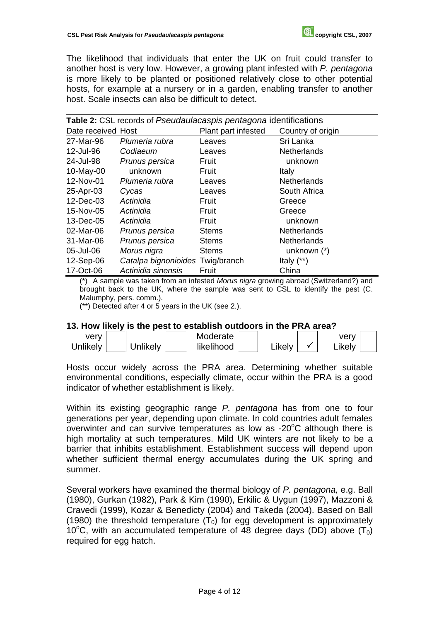The likelihood that individuals that enter the UK on fruit could transfer to another host is very low. However, a growing plant infested with *P. pentagona* is more likely to be planted or positioned relatively close to other potential hosts, for example at a nursery or in a garden, enabling transfer to another host. Scale insects can also be difficult to detect.

| Table 2: CSL records of Pseudaulacaspis pentagona identifications |                                  |                   |                    |  |  |
|-------------------------------------------------------------------|----------------------------------|-------------------|--------------------|--|--|
| Date received Host                                                |                                  | Country of origin |                    |  |  |
| 27-Mar-96                                                         | Plumeria rubra                   | Leaves            | Sri Lanka          |  |  |
| 12-Jul-96                                                         | Codiaeum                         | Leaves            | <b>Netherlands</b> |  |  |
| 24-Jul-98                                                         | Prunus persica                   | Fruit             | unknown            |  |  |
| 10-May-00                                                         | unknown                          | Fruit             | Italy              |  |  |
| 12-Nov-01                                                         | Plumeria rubra                   | Leaves            | Netherlands        |  |  |
| 25-Apr-03                                                         | Cycas                            | Leaves            | South Africa       |  |  |
| 12-Dec-03                                                         | Actinidia                        | Fruit             | Greece             |  |  |
| 15-Nov-05                                                         | Actinidia                        | Fruit             | Greece             |  |  |
| 13-Dec-05                                                         | Actinidia                        | Fruit             | unknown            |  |  |
| 02-Mar-06                                                         | Prunus persica                   | <b>Stems</b>      | <b>Netherlands</b> |  |  |
| 31-Mar-06                                                         | Prunus persica                   | <b>Stems</b>      | <b>Netherlands</b> |  |  |
| 05-Jul-06                                                         | Morus nigra                      | <b>Stems</b>      | unknown $(*)$      |  |  |
| 12-Sep-06                                                         | Catalpa bignonioides Twig/branch |                   | Italy $(**)$       |  |  |
| 17-Oct-06                                                         | Actinidia sinensis               | Fruit             | China              |  |  |

(\*) A sample was taken from an infested *Morus nigra* growing abroad (Switzerland?) and brought back to the UK, where the sample was sent to CSL to identify the pest (C. Malumphy, pers. comm.).

(\*\*) Detected after 4 or 5 years in the UK (see 2.).

#### **13. How likely is the pest to establish outdoors in the PRA area?**

| verv     |          | Moderate   |        | verv   |  |
|----------|----------|------------|--------|--------|--|
| Unlikely | Jnlikely | likelihood | ∟ikelv | ∟ikelv |  |

Hosts occur widely across the PRA area. Determining whether suitable environmental conditions, especially climate, occur within the PRA is a good indicator of whether establishment is likely.

Within its existing geographic range *P. pentagona* has from one to four generations per year, depending upon climate. In cold countries adult females overwinter and can survive temperatures as low as -20 $\mathrm{^{\circ}C}$  although there is high mortality at such temperatures. Mild UK winters are not likely to be a barrier that inhibits establishment. Establishment success will depend upon whether sufficient thermal energy accumulates during the UK spring and summer.

Several workers have examined the thermal biology of *P. pentagona,* e.g. Ball (1980), Gurkan (1982), Park & Kim (1990), Erkilic & Uygun (1997), Mazzoni & Cravedi (1999), Kozar & Benedicty (2004) and Takeda (2004). Based on Ball (1980) the threshold temperature  $(T_0)$  for egg development is approximately 10°C, with an accumulated temperature of 48 degree days (DD) above  $(T_0)$ required for egg hatch.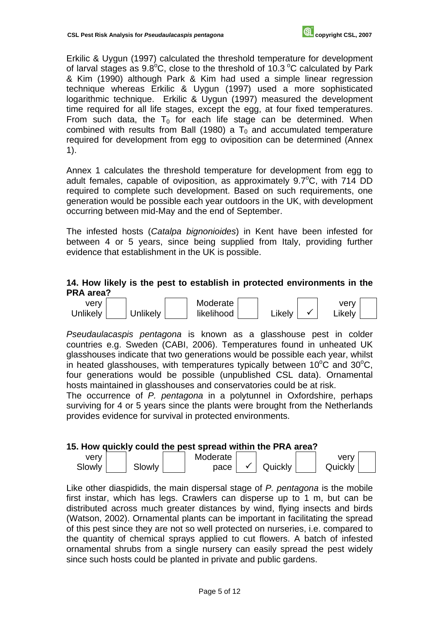Erkilic & Uygun (1997) calculated the threshold temperature for development of larval stages as  $9.8^{\circ}$ C, close to the threshold of 10.3  $^{\circ}$ C calculated by Park & Kim (1990) although Park & Kim had used a simple linear regression technique whereas Erkilic & Uygun (1997) used a more sophisticated logarithmic technique. Erkilic & Uygun (1997) measured the development time required for all life stages, except the egg, at four fixed temperatures. From such data, the  $T_0$  for each life stage can be determined. When combined with results from Ball (1980) a  $T_0$  and accumulated temperature required for development from egg to oviposition can be determined (Annex 1).

Annex 1 calculates the threshold temperature for development from egg to adult females, capable of oviposition, as approximately  $9.7^{\circ}$ C, with 714 DD required to complete such development. Based on such requirements, one generation would be possible each year outdoors in the UK, with development occurring between mid-May and the end of September.

The infested hosts (*Catalpa bignonioides*) in Kent have been infested for between 4 or 5 years, since being supplied from Italy, providing further evidence that establishment in the UK is possible.

### **14. How likely is the pest to establish in protected environments in the PRA area?**



*Pseudaulacaspis pentagona* is known as a glasshouse pest in colder countries e.g. Sweden (CABI, 2006). Temperatures found in unheated UK glasshouses indicate that two generations would be possible each year, whilst in heated glasshouses, with temperatures typically between 10 $\mathrm{^{\circ}C}$  and 30 $\mathrm{^{\circ}C}$ , four generations would be possible (unpublished CSL data). Ornamental hosts maintained in glasshouses and conservatories could be at risk.

The occurrence of *P. pentagona* in a polytunnel in Oxfordshire, perhaps surviving for 4 or 5 years since the plants were brought from the Netherlands provides evidence for survival in protected environments.

#### **15. How quickly could the pest spread within the PRA area?**

| very   |               | Moderate |         | verv    |  |
|--------|---------------|----------|---------|---------|--|
| Slowly | <b>Slowly</b> | pace     | Quickly | Quickly |  |

Like other diaspidids, the main dispersal stage of *P. pentagona* is the mobile first instar, which has legs. Crawlers can disperse up to 1 m, but can be distributed across much greater distances by wind, flying insects and birds (Watson, 2002). Ornamental plants can be important in facilitating the spread of this pest since they are not so well protected on nurseries, i.e. compared to the quantity of chemical sprays applied to cut flowers. A batch of infested ornamental shrubs from a single nursery can easily spread the pest widely since such hosts could be planted in private and public gardens.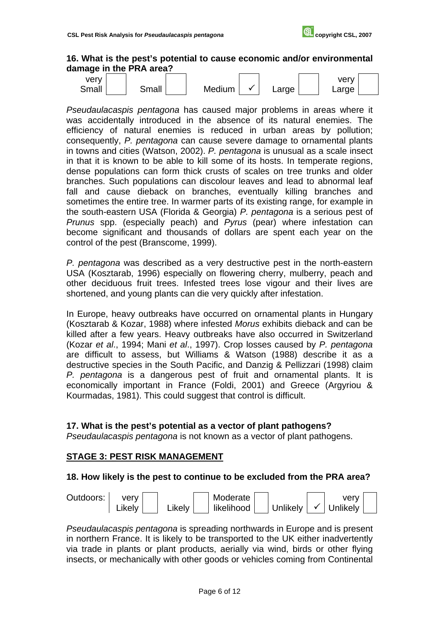### **16. What is the pest's potential to cause economic and/or environmental damage in the PRA area?**



*Pseudaulacaspis pentagona* has caused major problems in areas where it was accidentally introduced in the absence of its natural enemies. The efficiency of natural enemies is reduced in urban areas by pollution; consequently, *P. pentagona* can cause severe damage to ornamental plants in towns and cities (Watson, 2002). *P. pentagona* is unusual as a scale insect in that it is known to be able to kill some of its hosts. In temperate regions, dense populations can form thick crusts of scales on tree trunks and older branches. Such populations can discolour leaves and lead to abnormal leaf fall and cause dieback on branches, eventually killing branches and sometimes the entire tree. In warmer parts of its existing range, for example in the south-eastern USA (Florida & Georgia) *P. pentagona* is a serious pest of *Prunus* spp. (especially peach) and *Pyrus* (pear) where infestation can become significant and thousands of dollars are spent each year on the control of the pest (Branscome, 1999).

*P. pentagona* was described as a very destructive pest in the north-eastern USA (Kosztarab, 1996) especially on flowering cherry, mulberry, peach and other deciduous fruit trees. Infested trees lose vigour and their lives are shortened, and young plants can die very quickly after infestation.

In Europe, heavy outbreaks have occurred on ornamental plants in Hungary (Kosztarab & Kozar, 1988) where infested *Morus* exhibits dieback and can be killed after a few years. Heavy outbreaks have also occurred in Switzerland (Kozar *et al*., 1994; Mani *et al*., 1997). Crop losses caused by *P. pentagona* are difficult to assess, but Williams & Watson (1988) describe it as a destructive species in the South Pacific, and Danzig & Pellizzari (1998) claim *P. pentagona* is a dangerous pest of fruit and ornamental plants. It is economically important in France (Foldi, 2001) and Greece (Argyriou & Kourmadas, 1981). This could suggest that control is difficult.

### **17. What is the pest's potential as a vector of plant pathogens?**

*Pseudaulacaspis pentagona* is not known as a vector of plant pathogens.

#### **STAGE 3: PEST RISK MANAGEMENT**

#### **18. How likely is the pest to continue to be excluded from the PRA area?**



*Pseudaulacaspis pentagona* is spreading northwards in Europe and is present in northern France. It is likely to be transported to the UK either inadvertently via trade in plants or plant products, aerially via wind, birds or other flying insects, or mechanically with other goods or vehicles coming from Continental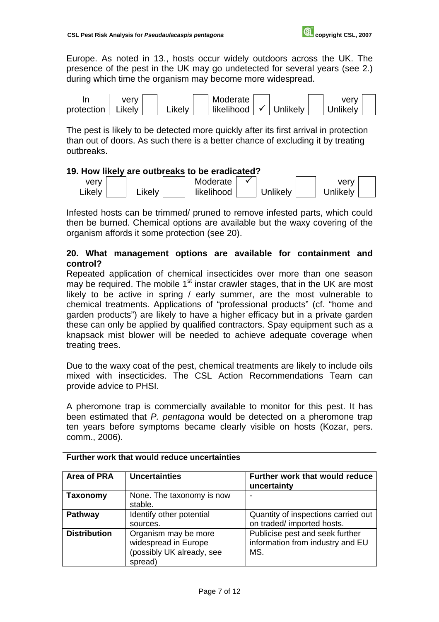Europe. As noted in 13., hosts occur widely outdoors across the UK. The presence of the pest in the UK may go undetected for several years (see 2.) during which time the organism may become more widespread.



The pest is likely to be detected more quickly after its first arrival in protection than out of doors. As such there is a better chance of excluding it by treating outbreaks.

### **19. How likely are outbreaks to be eradicated?**



Infested hosts can be trimmed/ pruned to remove infested parts, which could then be burned. Chemical options are available but the waxy covering of the organism affords it some protection (see 20).

## **20. What management options are available for containment and control?**

Repeated application of chemical insecticides over more than one season may be required. The mobile  $1<sup>st</sup>$  instar crawler stages, that in the UK are most likely to be active in spring / early summer, are the most vulnerable to chemical treatments. Applications of "professional products" (cf. "home and garden products") are likely to have a higher efficacy but in a private garden these can only be applied by qualified contractors. Spay equipment such as a knapsack mist blower will be needed to achieve adequate coverage when treating trees.

Due to the waxy coat of the pest, chemical treatments are likely to include oils mixed with insecticides. The CSL Action Recommendations Team can provide advice to PHSI.

A pheromone trap is commercially available to monitor for this pest. It has been estimated that *P. pentagona* would be detected on a pheromone trap ten years before symptoms became clearly visible on hosts (Kozar, pers. comm., 2006).

| <b>Area of PRA</b>  | <b>Uncertainties</b>                                                                 | Further work that would reduce<br>uncertainty                              |
|---------------------|--------------------------------------------------------------------------------------|----------------------------------------------------------------------------|
| <b>Taxonomy</b>     | None. The taxonomy is now<br>stable.                                                 |                                                                            |
| <b>Pathway</b>      | Identify other potential<br>sources.                                                 | Quantity of inspections carried out<br>on traded/ imported hosts.          |
| <b>Distribution</b> | Organism may be more<br>widespread in Europe<br>(possibly UK already, see<br>spread) | Publicise pest and seek further<br>information from industry and EU<br>MS. |

**Further work that would reduce uncertainties**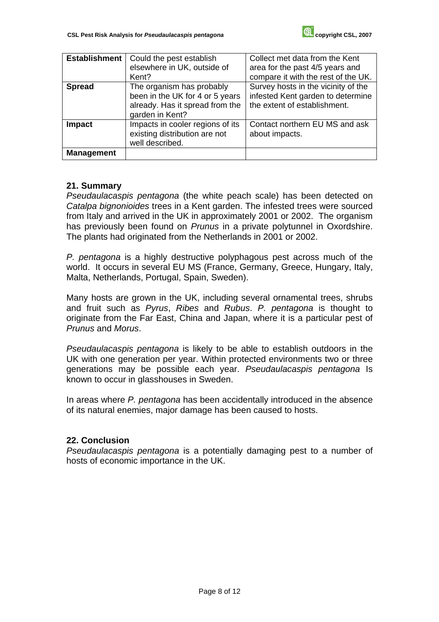| <b>Establishment</b> | Could the pest establish<br>elsewhere in UK, outside of<br>Kent?                                                   | Collect met data from the Kent<br>area for the past 4/5 years and<br>compare it with the rest of the UK. |
|----------------------|--------------------------------------------------------------------------------------------------------------------|----------------------------------------------------------------------------------------------------------|
| <b>Spread</b>        | The organism has probably<br>been in the UK for 4 or 5 years<br>already. Has it spread from the<br>garden in Kent? | Survey hosts in the vicinity of the<br>infested Kent garden to determine<br>the extent of establishment. |
| <b>Impact</b>        | Impacts in cooler regions of its<br>existing distribution are not<br>well described.                               | Contact northern EU MS and ask<br>about impacts.                                                         |
| <b>Management</b>    |                                                                                                                    |                                                                                                          |

### **21. Summary**

*Pseudaulacaspis pentagona* (the white peach scale) has been detected on *Catalpa bignonioides* trees in a Kent garden. The infested trees were sourced from Italy and arrived in the UK in approximately 2001 or 2002. The organism has previously been found on *Prunus* in a private polytunnel in Oxordshire. The plants had originated from the Netherlands in 2001 or 2002.

*P. pentagona* is a highly destructive polyphagous pest across much of the world. It occurs in several EU MS (France, Germany, Greece, Hungary, Italy, Malta, Netherlands, Portugal, Spain, Sweden).

Many hosts are grown in the UK, including several ornamental trees, shrubs and fruit such as *Pyrus*, *Ribes* and *Rubus*. *P. pentagona* is thought to originate from the Far East, China and Japan, where it is a particular pest of *Prunus* and *Morus*.

*Pseudaulacaspis pentagona* is likely to be able to establish outdoors in the UK with one generation per year. Within protected environments two or three generations may be possible each year. *Pseudaulacaspis pentagona* Is known to occur in glasshouses in Sweden.

In areas where *P. pentagona* has been accidentally introduced in the absence of its natural enemies, major damage has been caused to hosts.

# **22. Conclusion**

*Pseudaulacaspis pentagona* is a potentially damaging pest to a number of hosts of economic importance in the UK.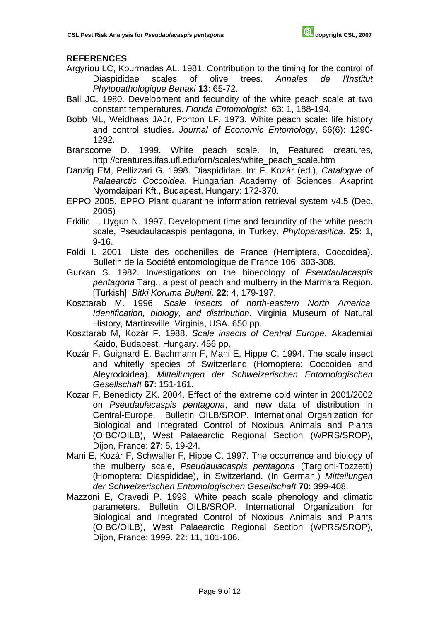# **REFERENCES**

- Argyriou LC, Kourmadas AL. 1981. Contribution to the timing for the control of Diaspididae scales of olive trees. *Annales de l'Institut Phytopathologique Benaki* **13**: 65-72.
- Ball JC. 1980. Development and fecundity of the white peach scale at two constant temperatures. *Florida Entomologist*. 63: 1, 188-194.
- Bobb ML, Weidhaas JAJr, Ponton LF, 1973. White peach scale: life history and control studies. *Journal of Economic Entomology*, 66(6): 1290- 1292.
- Branscome D. 1999. White peach scale. In, Featured creatures, http://creatures.ifas.ufl.edu/orn/scales/white\_peach\_scale.htm
- Danzig EM, Pellizzari G. 1998. Diaspididae. In: F. Kozár (ed.), *Catalogue of Palaearctic Coccoidea*. Hungarian Academy of Sciences. Akaprint Nyomdaipari Kft., Budapest, Hungary: 172-370.
- EPPO 2005. EPPO Plant quarantine information retrieval system v4.5 (Dec. 2005)
- Erkilic L, Uygun N. 1997. Development time and fecundity of the white peach scale, Pseudaulacaspis pentagona, in Turkey. *Phytoparasitica*. **25**: 1, 9-16.
- Foldi I. 2001. Liste des cochenilles de France (Hemiptera, Coccoidea). Bulletin de la Société entomologique de France 106: 303-308.
- Gurkan S. 1982. Investigations on the bioecology of *Pseudaulacaspis pentagona* Targ., a pest of peach and mulberry in the Marmara Region. [Turkish] *Bitki Koruma Bulteni*. **22**: 4, 179-197.
- Kosztarab M. 1996. *Scale insects of north-eastern North America. Identification, biology, and distribution*. Virginia Museum of Natural History, Martinsville, Virginia, USA. 650 pp.
- Kosztarab M, Kozár F. 1988. *Scale insects of Central Europe*. Akademiai Kaido, Budapest, Hungary. 456 pp.
- Kozár F, Guignard E, Bachmann F, Mani E, Hippe C. 1994. The scale insect and whitefly species of Switzerland (Homoptera: Coccoidea and Aleyrodoidea). *Mitteilungen der Schweizerischen Entomologischen Gesellschaft* **67**: 151-161.
- Kozar F, Benedicty ZK. 2004. Effect of the extreme cold winter in 2001/2002 on *Pseudaulacaspis pentagona*, and new data of distribution in Central-Europe. Bulletin OILB/SROP. International Organization for Biological and Integrated Control of Noxious Animals and Plants (OIBC/OILB), West Palaearctic Regional Section (WPRS/SROP), Dijon, France: **27**: 5, 19-24.
- Mani E, Kozár F, Schwaller F, Hippe C. 1997. The occurrence and biology of the mulberry scale, *Pseudaulacaspis pentagona* (Targioni-Tozzetti) (Homoptera: Diaspididae), in Switzerland. (In German.) *Mitteilungen der Schweizerischen Entomologischen Gesellschaft* **70**: 399-408.
- Mazzoni E, Cravedi P. 1999. White peach scale phenology and climatic parameters. Bulletin OILB/SROP. International Organization for Biological and Integrated Control of Noxious Animals and Plants (OIBC/OILB), West Palaearctic Regional Section (WPRS/SROP), Dijon, France: 1999. 22: 11, 101-106.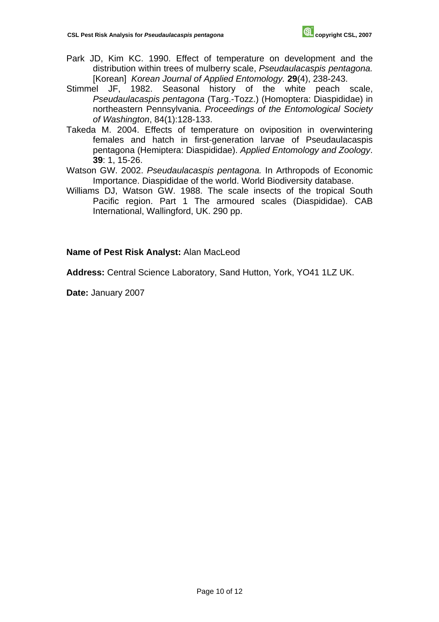- Park JD, Kim KC. 1990. Effect of temperature on development and the distribution within trees of mulberry scale, *Pseudaulacaspis pentagona.* [Korean] *Korean Journal of Applied Entomology.* **29**(4), 238-243.
- Stimmel JF, 1982. Seasonal history of the white peach scale, *Pseudaulacaspis pentagona* (Targ.-Tozz.) (Homoptera: Diaspididae) in northeastern Pennsylvania. *Proceedings of the Entomological Society of Washington*, 84(1):128-133.
- Takeda M. 2004. Effects of temperature on oviposition in overwintering females and hatch in first-generation larvae of Pseudaulacaspis pentagona (Hemiptera: Diaspididae). *Applied Entomology and Zoology*. **39**: 1, 15-26.
- Watson GW. 2002. *Pseudaulacaspis pentagona.* In Arthropods of Economic Importance. Diaspididae of the world. World Biodiversity database.
- Williams DJ, Watson GW. 1988. The scale insects of the tropical South Pacific region. Part 1 The armoured scales (Diaspididae). CAB International, Wallingford, UK. 290 pp.

**Name of Pest Risk Analyst:** Alan MacLeod

**Address:** Central Science Laboratory, Sand Hutton, York, YO41 1LZ UK.

**Date:** January 2007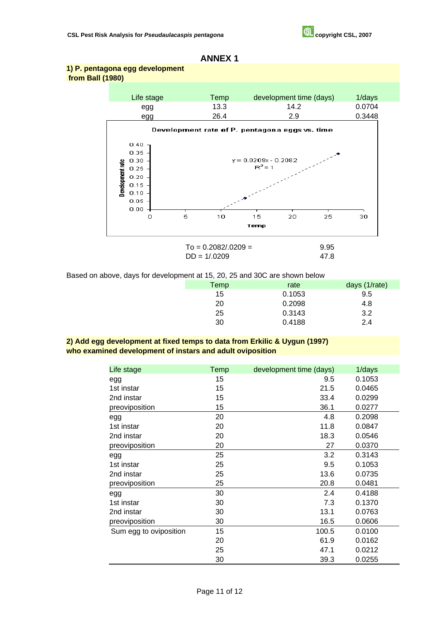#### **ANNEX 1**

#### **1) P. pentagona egg development from Ball (1980)**



$$
To = 0.2082/.0209 = 9.95
$$
  
DD = 1/.0209 47.8

Based on above, days for development at 15, 20, 25 and 30C are shown below

| . . |      |        |               |
|-----|------|--------|---------------|
|     | Temp | rate   | days (1/rate) |
|     | 15   | 0.1053 | 9.5           |
|     | 20   | 0.2098 | 4.8           |
|     | 25   | 0.3143 | 3.2           |
|     | 30   | 0.4188 | 2.4           |
|     |      |        |               |

#### **2) Add egg development at fixed temps to data from Erkilic & Uygun (1997) who examined development of instars and adult oviposition**

| Life stage             | Temp | development time (days) | 1/days |
|------------------------|------|-------------------------|--------|
| egg                    | 15   | 9.5                     | 0.1053 |
| 1st instar             | 15   | 21.5                    | 0.0465 |
| 2nd instar             | 15   | 33.4                    | 0.0299 |
| preoviposition         | 15   | 36.1                    | 0.0277 |
| egg                    | 20   | 4.8                     | 0.2098 |
| 1st instar             | 20   | 11.8                    | 0.0847 |
| 2nd instar             | 20   | 18.3                    | 0.0546 |
| preoviposition         | 20   | 27                      | 0.0370 |
| egg                    | 25   | 3.2                     | 0.3143 |
| 1st instar             | 25   | 9.5                     | 0.1053 |
| 2nd instar             | 25   | 13.6                    | 0.0735 |
| preoviposition         | 25   | 20.8                    | 0.0481 |
| egg                    | 30   | 2.4                     | 0.4188 |
| 1st instar             | 30   | 7.3                     | 0.1370 |
| 2nd instar             | 30   | 13.1                    | 0.0763 |
| preoviposition         | 30   | 16.5                    | 0.0606 |
| Sum egg to oviposition | 15   | 100.5                   | 0.0100 |
|                        | 20   | 61.9                    | 0.0162 |
|                        | 25   | 47.1                    | 0.0212 |
|                        | 30   | 39.3                    | 0.0255 |